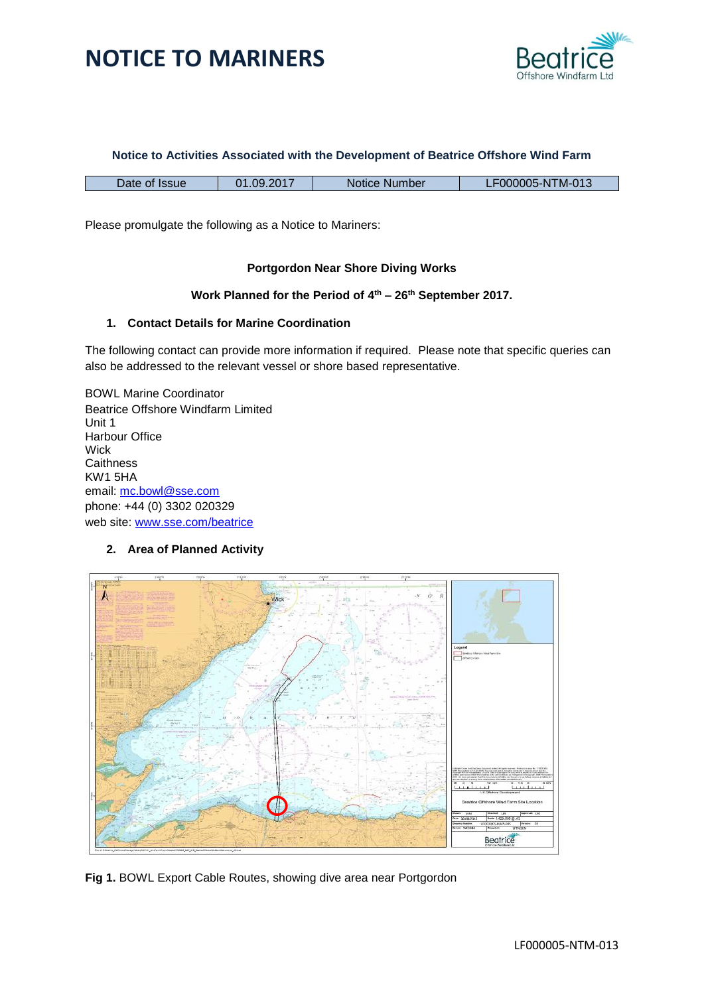



#### **Notice to Activities Associated with the Development of Beatrice Offshore Wind Farm**

| Date of Issue | 1.09.2017<br>ົາ 1 | Notice Number | .F000005-NTM-013 |
|---------------|-------------------|---------------|------------------|
|               |                   |               |                  |

Please promulgate the following as a Notice to Mariners:

### **Portgordon Near Shore Diving Works**

#### **Work Planned for the Period of 4 th – 26th September 2017.**

#### **1. Contact Details for Marine Coordination**

The following contact can provide more information if required. Please note that specific queries can also be addressed to the relevant vessel or shore based representative.

BOWL Marine Coordinator Beatrice Offshore Windfarm Limited Unit 1 Harbour Office **Wick Caithness** KW1 5HA email: [mc.bowl@sse.com](mailto:mc.bowl@sse.com) phone: +44 (0) 3302 020329 web site: [www.sse.com/beatrice](http://www.sse.com/beatrice)

#### **2. Area of Planned Activity**



**Fig 1.** BOWL Export Cable Routes, showing dive area near Portgordon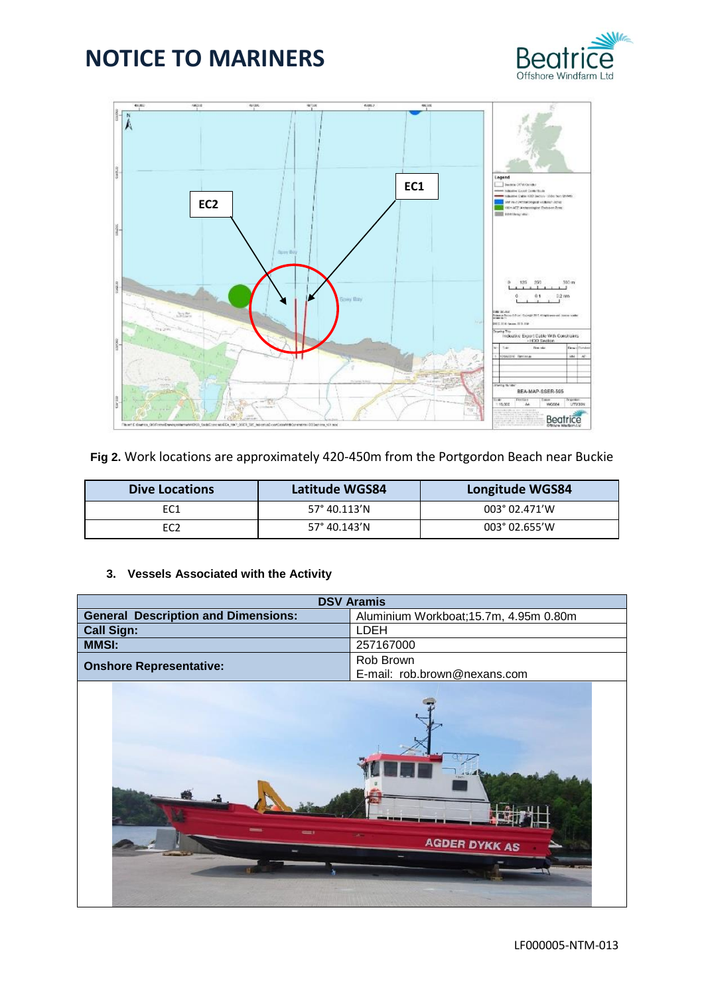



**Fig 2.** Work locations are approximately 420-450m from the Portgordon Beach near Buckie

| <b>Dive Locations</b> | <b>Latitude WGS84</b> | Longitude WGS84        |  |
|-----------------------|-----------------------|------------------------|--|
| EC <sub>1</sub>       | $57^{\circ}$ 40.113'N | $003^{\circ}$ 02.471'W |  |
| EC2                   | 57° 40.143'N          | $003^{\circ}$ 02.655'W |  |

## **3. Vessels Associated with the Activity**

| <b>DSV Aramis</b>                          |                                        |  |
|--------------------------------------------|----------------------------------------|--|
| <b>General Description and Dimensions:</b> | Aluminium Workboat; 15.7m, 4.95m 0.80m |  |
| <b>Call Sign:</b>                          | LDEH                                   |  |
| <b>MMSI:</b>                               | 257167000                              |  |
|                                            | Rob Brown                              |  |
| <b>Onshore Representative:</b>             | E-mail: rob.brown@nexans.com           |  |
|                                            | <b>AGDER DYKK AS</b>                   |  |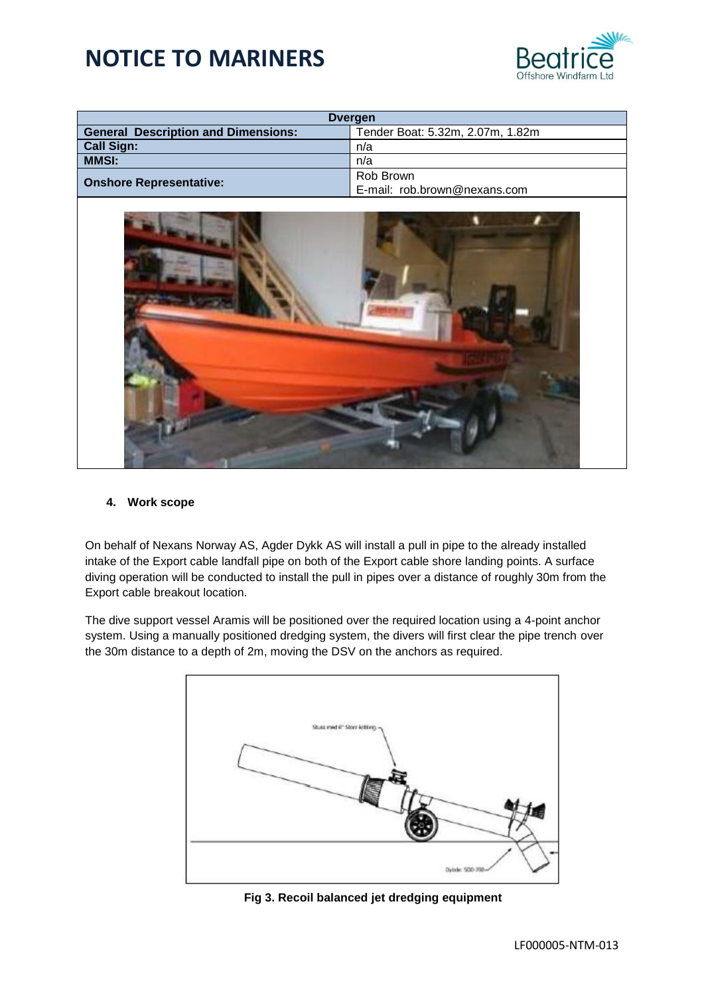

| <b>Dvergen</b>                                                                 |                              |  |  |
|--------------------------------------------------------------------------------|------------------------------|--|--|
| <b>General Description and Dimensions:</b><br>Tender Boat: 5.32m, 2.07m, 1.82m |                              |  |  |
| <b>Call Sign:</b>                                                              | n/a                          |  |  |
| <b>MMSI:</b>                                                                   | n/a                          |  |  |
| <b>Onshore Representative:</b>                                                 | Rob Brown                    |  |  |
|                                                                                | E-mail: rob.brown@nexans.com |  |  |



### **4. Work scope**

On behalf of Nexans Norway AS, Agder Dykk AS will install a pull in pipe to the already installed intake of the Export cable landfall pipe on both of the Export cable shore landing points. A surface diving operation will be conducted to install the pull in pipes over a distance of roughly 30m from the Export cable breakout location.

The dive support vessel Aramis will be positioned over the required location using a 4-point anchor system. Using a manually positioned dredging system, the divers will first clear the pipe trench over the 30m distance to a depth of 2m, moving the DSV on the anchors as required.



|  |  |  |  |  |  |  | Fig 3. Recoil balanced jet dredging equipment |
|--|--|--|--|--|--|--|-----------------------------------------------|
|--|--|--|--|--|--|--|-----------------------------------------------|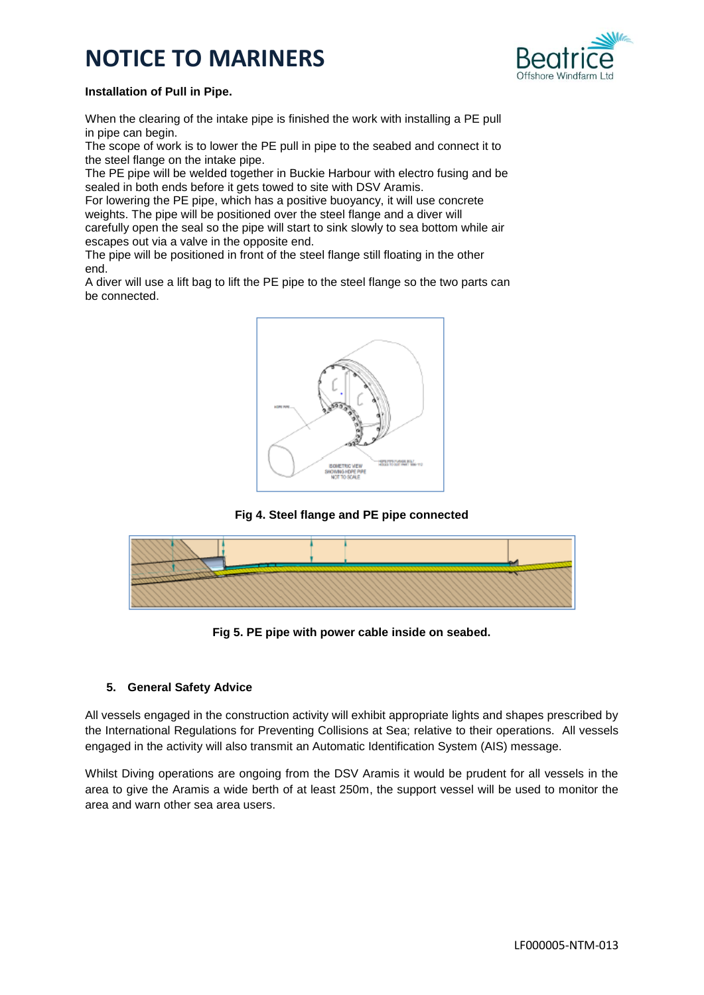

### **Installation of Pull in Pipe.**

When the clearing of the intake pipe is finished the work with installing a PE pull in pipe can begin.

The scope of work is to lower the PE pull in pipe to the seabed and connect it to the steel flange on the intake pipe.

The PE pipe will be welded together in Buckie Harbour with electro fusing and be sealed in both ends before it gets towed to site with DSV Aramis.

For lowering the PE pipe, which has a positive buoyancy, it will use concrete weights. The pipe will be positioned over the steel flange and a diver will carefully open the seal so the pipe will start to sink slowly to sea bottom while air escapes out via a valve in the opposite end.

The pipe will be positioned in front of the steel flange still floating in the other end.

A diver will use a lift bag to lift the PE pipe to the steel flange so the two parts can be connected.



**Fig 4. Steel flange and PE pipe connected**



**Fig 5. PE pipe with power cable inside on seabed.**

## **5. General Safety Advice**

All vessels engaged in the construction activity will exhibit appropriate lights and shapes prescribed by the International Regulations for Preventing Collisions at Sea; relative to their operations. All vessels engaged in the activity will also transmit an Automatic Identification System (AIS) message.

Whilst Diving operations are ongoing from the DSV Aramis it would be prudent for all vessels in the area to give the Aramis a wide berth of at least 250m, the support vessel will be used to monitor the area and warn other sea area users.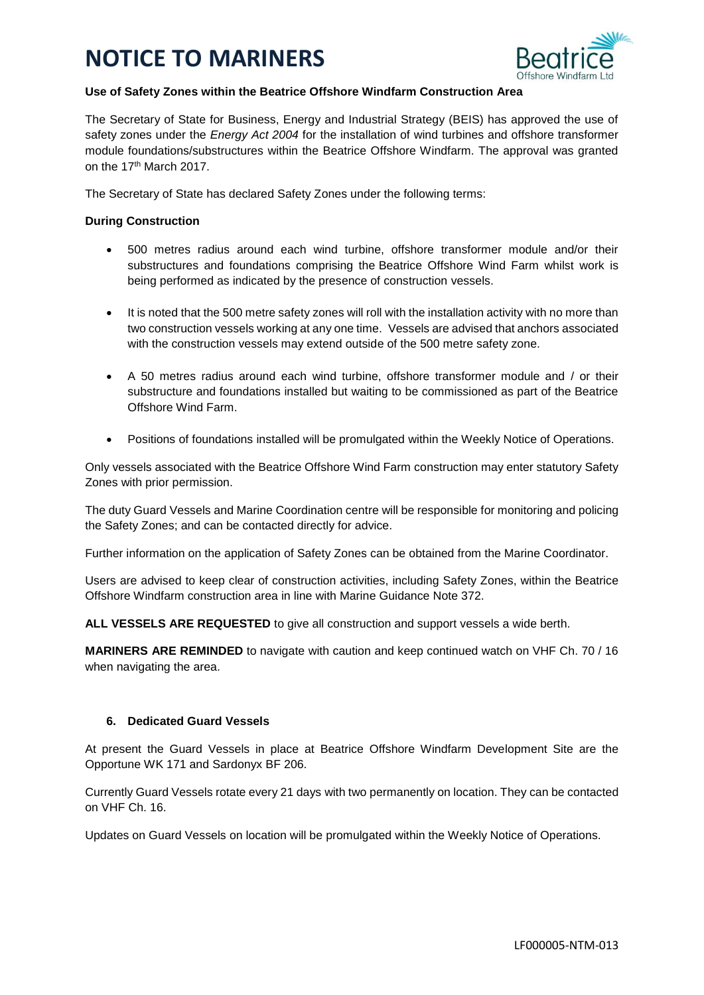

### **Use of Safety Zones within the Beatrice Offshore Windfarm Construction Area**

The Secretary of State for Business, Energy and Industrial Strategy (BEIS) has approved the use of safety zones under the *Energy Act 2004* for the installation of wind turbines and offshore transformer module foundations/substructures within the Beatrice Offshore Windfarm. The approval was granted on the 17th March 2017.

The Secretary of State has declared Safety Zones under the following terms:

## **During Construction**

- 500 metres radius around each wind turbine, offshore transformer module and/or their substructures and foundations comprising the Beatrice Offshore Wind Farm whilst work is being performed as indicated by the presence of construction vessels.
- It is noted that the 500 metre safety zones will roll with the installation activity with no more than two construction vessels working at any one time. Vessels are advised that anchors associated with the construction vessels may extend outside of the 500 metre safety zone.
- A 50 metres radius around each wind turbine, offshore transformer module and / or their substructure and foundations installed but waiting to be commissioned as part of the Beatrice Offshore Wind Farm.
- Positions of foundations installed will be promulgated within the Weekly Notice of Operations.

Only vessels associated with the Beatrice Offshore Wind Farm construction may enter statutory Safety Zones with prior permission.

The duty Guard Vessels and Marine Coordination centre will be responsible for monitoring and policing the Safety Zones; and can be contacted directly for advice.

Further information on the application of Safety Zones can be obtained from the Marine Coordinator.

Users are advised to keep clear of construction activities, including Safety Zones, within the Beatrice Offshore Windfarm construction area in line with Marine Guidance Note 372.

**ALL VESSELS ARE REQUESTED** to give all construction and support vessels a wide berth.

**MARINERS ARE REMINDED** to navigate with caution and keep continued watch on VHF Ch. 70 / 16 when navigating the area.

## **6. Dedicated Guard Vessels**

At present the Guard Vessels in place at Beatrice Offshore Windfarm Development Site are the Opportune WK 171 and Sardonyx BF 206.

Currently Guard Vessels rotate every 21 days with two permanently on location. They can be contacted on VHF Ch. 16.

Updates on Guard Vessels on location will be promulgated within the Weekly Notice of Operations.